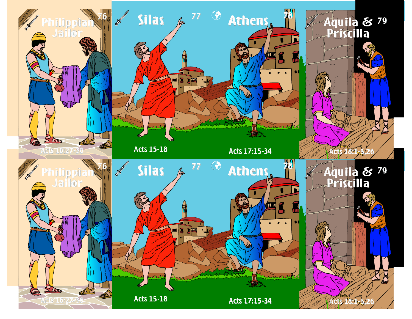